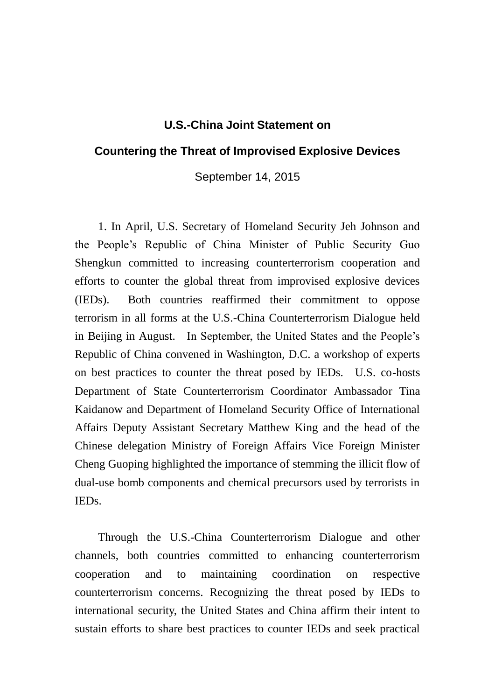## **U.S.-China Joint Statement on**

## **Countering the Threat of Improvised Explosive Devices**

September 14, 2015

1. In April, U.S. Secretary of Homeland Security Jeh Johnson and the People's Republic of China Minister of Public Security Guo Shengkun committed to increasing counterterrorism cooperation and efforts to counter the global threat from improvised explosive devices (IEDs). Both countries reaffirmed their commitment to oppose terrorism in all forms at the U.S.-China Counterterrorism Dialogue held in Beijing in August. In September, the United States and the People's Republic of China convened in Washington, D.C. a workshop of experts on best practices to counter the threat posed by IEDs. U.S. co-hosts Department of State Counterterrorism Coordinator Ambassador Tina Kaidanow and Department of Homeland Security Office of International Affairs Deputy Assistant Secretary Matthew King and the head of the Chinese delegation Ministry of Foreign Affairs Vice Foreign Minister Cheng Guoping highlighted the importance of stemming the illicit flow of dual-use bomb components and chemical precursors used by terrorists in IEDs.

Through the U.S.-China Counterterrorism Dialogue and other channels, both countries committed to enhancing counterterrorism cooperation and to maintaining coordination on respective counterterrorism concerns. Recognizing the threat posed by IEDs to international security, the United States and China affirm their intent to sustain efforts to share best practices to counter IEDs and seek practical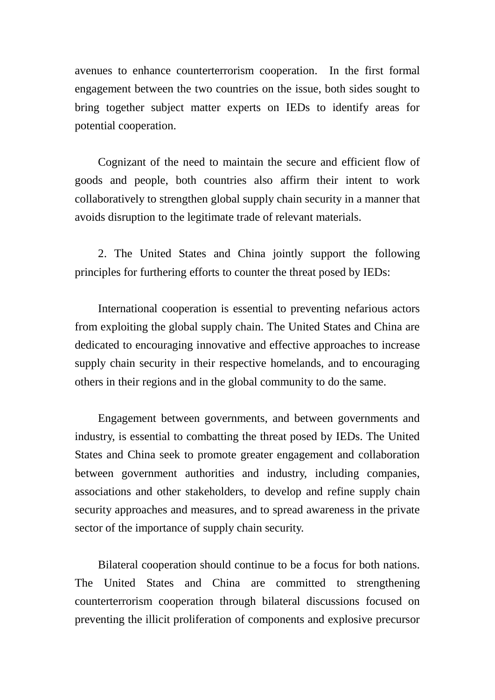avenues to enhance counterterrorism cooperation. In the first formal engagement between the two countries on the issue, both sides sought to bring together subject matter experts on IEDs to identify areas for potential cooperation.

Cognizant of the need to maintain the secure and efficient flow of goods and people, both countries also affirm their intent to work collaboratively to strengthen global supply chain security in a manner that avoids disruption to the legitimate trade of relevant materials.

2. The United States and China jointly support the following principles for furthering efforts to counter the threat posed by IEDs:

International cooperation is essential to preventing nefarious actors from exploiting the global supply chain. The United States and China are dedicated to encouraging innovative and effective approaches to increase supply chain security in their respective homelands, and to encouraging others in their regions and in the global community to do the same.

Engagement between governments, and between governments and industry, is essential to combatting the threat posed by IEDs. The United States and China seek to promote greater engagement and collaboration between government authorities and industry, including companies, associations and other stakeholders, to develop and refine supply chain security approaches and measures, and to spread awareness in the private sector of the importance of supply chain security.

Bilateral cooperation should continue to be a focus for both nations. The United States and China are committed to strengthening counterterrorism cooperation through bilateral discussions focused on preventing the illicit proliferation of components and explosive precursor